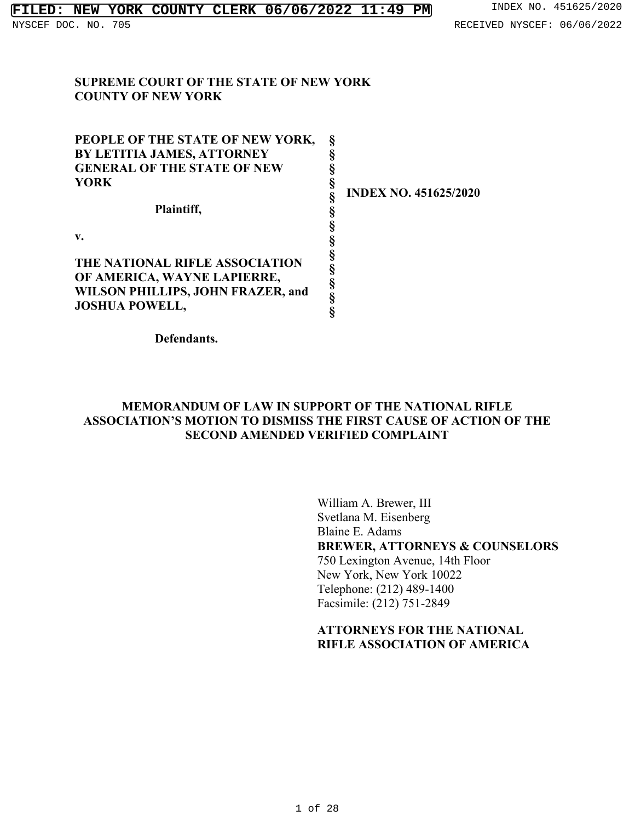#### **SUPREME COURT OF THE STATE OF NEW YORK COUNTY OF NEW YORK**

**PEOPLE OF THE STATE OF NEW YORK, BY LETITIA JAMES, ATTORNEY GENERAL OF THE STATE OF NEW YORK**

**Plaintiff,**

**v.**

**THE NATIONAL RIFLE ASSOCIATION OF AMERICA, WAYNE LAPIERRE, WILSON PHILLIPS, JOHN FRAZER, and JOSHUA POWELL,**

**Defendants.**

**INDEX NO. 451625/2020**

**MEMORANDUM OF LAW IN SUPPORT OF THE NATIONAL RIFLE ASSOCIATION'S MOTION TO DISMISS THE FIRST CAUSE OF ACTION OF THE SECOND AMENDED VERIFIED COMPLAINT**

**§ § § § § § § § § § § § §**

William A. Brewer, III Svetlana M. Eisenberg Blaine E. Adams **BREWER, ATTORNEYS & COUNSELORS** 750 Lexington Avenue, 14th Floor New York, New York 10022 Telephone: (212) 489-1400 Facsimile: (212) 751-2849

## **ATTORNEYS FOR THE NATIONAL RIFLE ASSOCIATION OF AMERICA**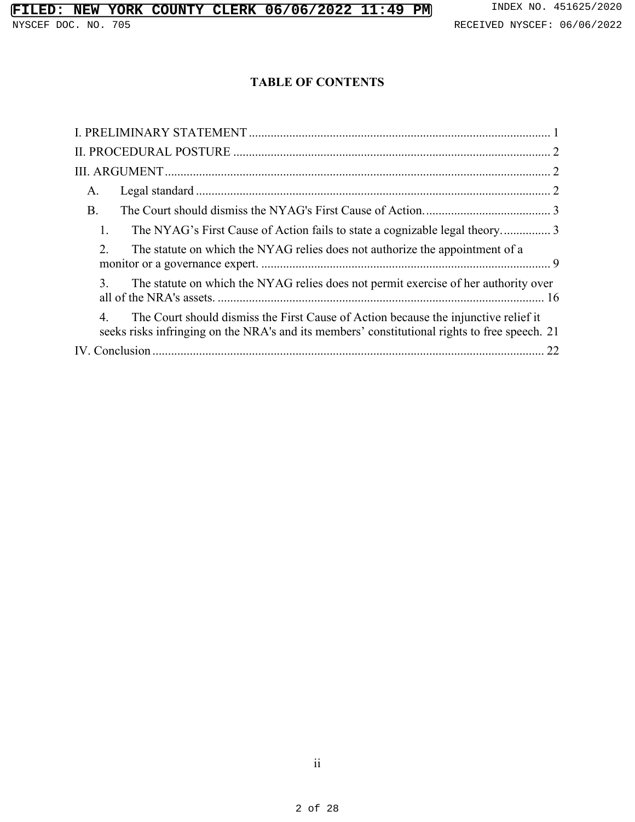## **TABLE OF CONTENTS**

| A.                                                                                                                                                                                        |
|-------------------------------------------------------------------------------------------------------------------------------------------------------------------------------------------|
| <b>B</b> .                                                                                                                                                                                |
| 1.                                                                                                                                                                                        |
| 2.<br>The statute on which the NYAG relies does not authorize the appointment of a                                                                                                        |
| 3.<br>The statute on which the NYAG relies does not permit exercise of her authority over                                                                                                 |
| 4<br>The Court should dismiss the First Cause of Action because the injunctive relief it<br>seeks risks infringing on the NRA's and its members' constitutional rights to free speech. 21 |
|                                                                                                                                                                                           |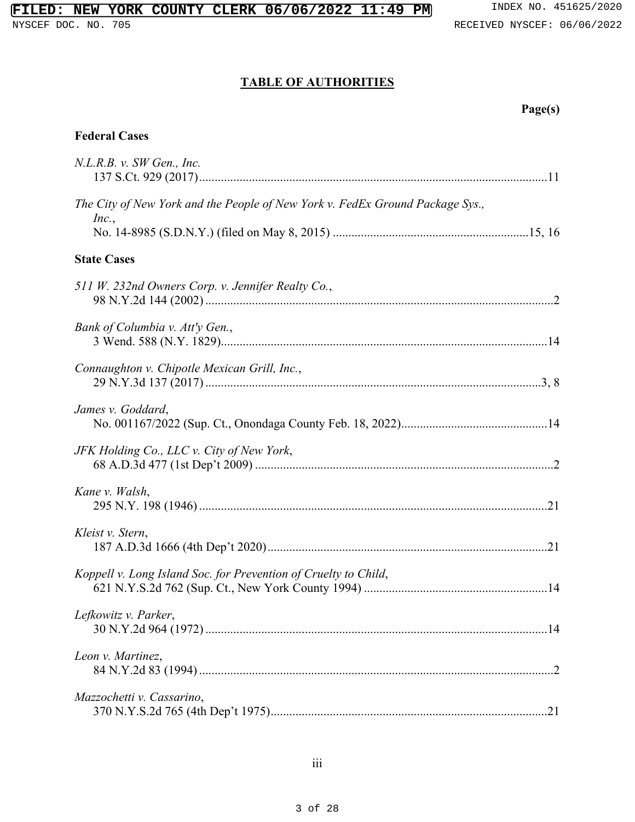## **TABLE OF AUTHORITIES**

### **Federal Cases**

| N.L.R.B. v. SW Gen., Inc.                                                              |  |
|----------------------------------------------------------------------------------------|--|
| The City of New York and the People of New York v. FedEx Ground Package Sys.,<br>Inc., |  |
| <b>State Cases</b>                                                                     |  |
| 511 W. 232nd Owners Corp. v. Jennifer Realty Co.,                                      |  |
| Bank of Columbia v. Att'y Gen.,                                                        |  |
| Connaughton v. Chipotle Mexican Grill, Inc.,                                           |  |
| James v. Goddard,                                                                      |  |
| JFK Holding Co., LLC v. City of New York,                                              |  |
| Kane v. Walsh,                                                                         |  |
| Kleist v. Stern,                                                                       |  |
| Koppell v. Long Island Soc. for Prevention of Cruelty to Child,                        |  |
| Lefkowitz v. Parker,                                                                   |  |
| Leon v. Martinez,                                                                      |  |
| Mazzochetti v. Cassarino,                                                              |  |
|                                                                                        |  |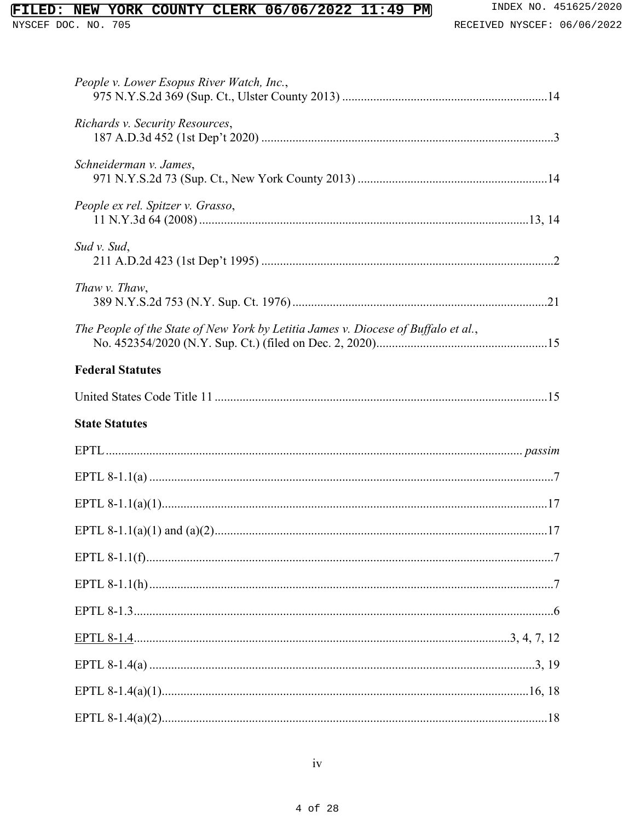# FILED: NEW YORK COUNTY CLERK 06/06/2022 11:49 PM

NYSCEF DOC. NO. 705

| People v. Lower Esopus River Watch, Inc.,                                          |
|------------------------------------------------------------------------------------|
| Richards v. Security Resources,                                                    |
| Schneiderman v. James,                                                             |
| People ex rel. Spitzer v. Grasso,                                                  |
| Sud v. Sud,                                                                        |
| Thaw v. Thaw,                                                                      |
| The People of the State of New York by Letitia James v. Diocese of Buffalo et al., |
| <b>Federal Statutes</b>                                                            |
|                                                                                    |
|                                                                                    |
| <b>State Statutes</b>                                                              |
|                                                                                    |
|                                                                                    |
|                                                                                    |
|                                                                                    |
|                                                                                    |
|                                                                                    |
|                                                                                    |
|                                                                                    |
|                                                                                    |
|                                                                                    |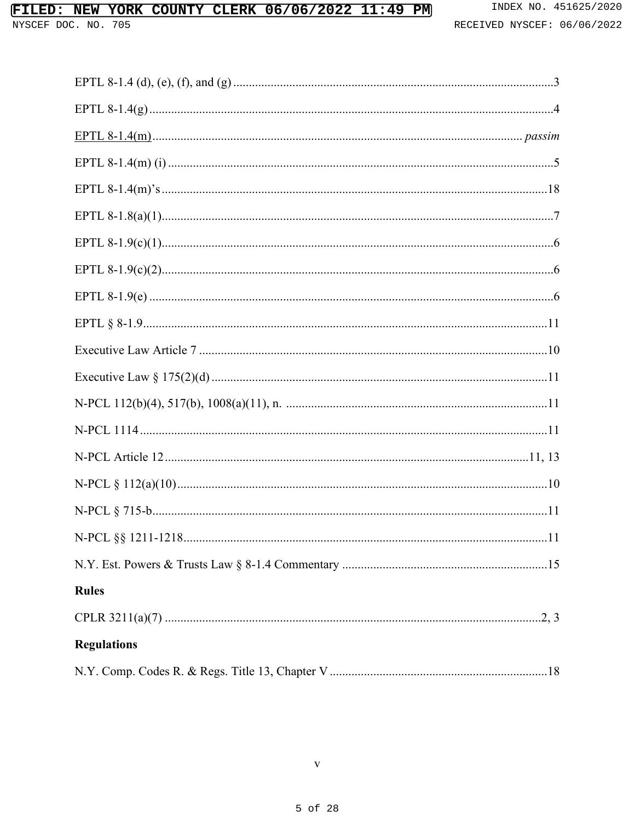## FILED: NEW YORK COUNTY CLERK 06/06/2022 11:49 PM

| 11                 |  |
|--------------------|--|
|                    |  |
| <b>Rules</b>       |  |
|                    |  |
| <b>Regulations</b> |  |
|                    |  |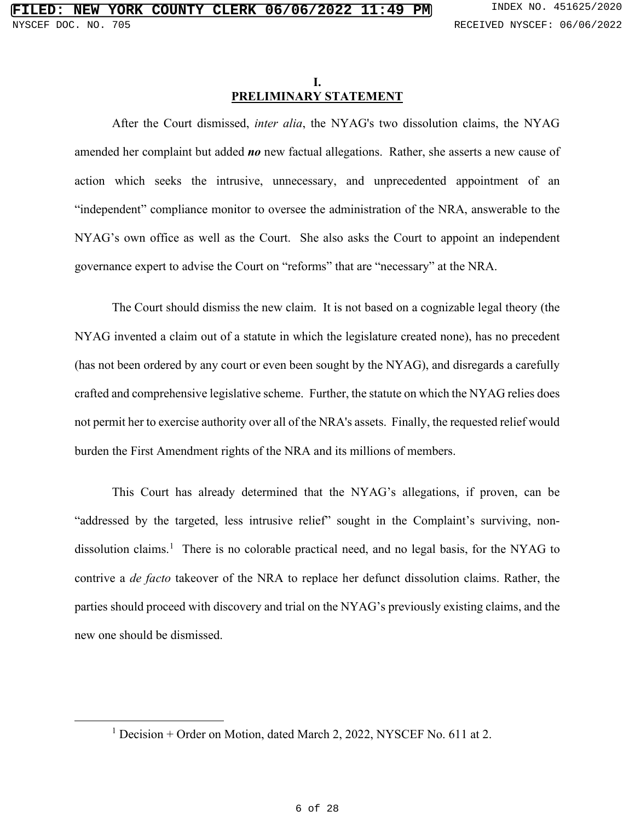#### **I. PRELIMINARY STATEMENT**

<span id="page-5-0"></span>After the Court dismissed, *inter alia*, the NYAG's two dissolution claims, the NYAG amended her complaint but added *no* new factual allegations. Rather, she asserts a new cause of action which seeks the intrusive, unnecessary, and unprecedented appointment of an "independent" compliance monitor to oversee the administration of the NRA, answerable to the NYAG's own office as well as the Court. She also asks the Court to appoint an independent governance expert to advise the Court on "reforms" that are "necessary" at the NRA.

The Court should dismiss the new claim. It is not based on a cognizable legal theory (the NYAG invented a claim out of a statute in which the legislature created none), has no precedent (has not been ordered by any court or even been sought by the NYAG), and disregards a carefully crafted and comprehensive legislative scheme. Further, the statute on which the NYAG relies does not permit her to exercise authority over all of the NRA's assets. Finally, the requested relief would burden the First Amendment rights of the NRA and its millions of members.

This Court has already determined that the NYAG's allegations, if proven, can be "addressed by the targeted, less intrusive relief" sought in the Complaint's surviving, non-dissolution claims.<sup>[1](#page-5-1)</sup> There is no colorable practical need, and no legal basis, for the NYAG to contrive a *de facto* takeover of the NRA to replace her defunct dissolution claims. Rather, the parties should proceed with discovery and trial on the NYAG's previously existing claims, and the new one should be dismissed.

<span id="page-5-1"></span><sup>&</sup>lt;sup>1</sup> Decision + Order on Motion, dated March 2, 2022, NYSCEF No. 611 at 2.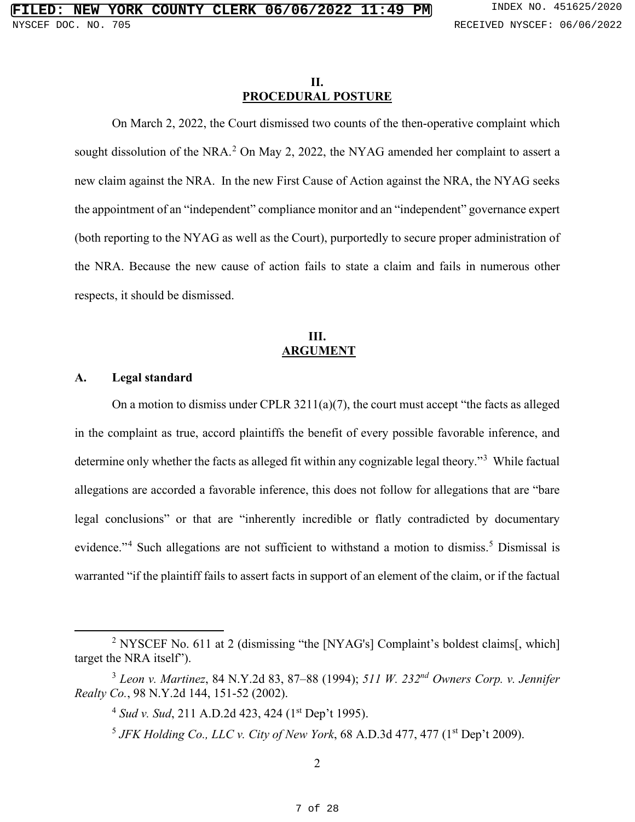#### **II. PROCEDURAL POSTURE**

<span id="page-6-0"></span>On March 2, 2022, the Court dismissed two counts of the then-operative complaint which sought dissolution of the NRA.<sup>[2](#page-6-8)</sup> On May 2, 2022, the NYAG amended her complaint to assert a new claim against the NRA. In the new First Cause of Action against the NRA, the NYAG seeks the appointment of an "independent" compliance monitor and an "independent" governance expert (both reporting to the NYAG as well as the Court), purportedly to secure proper administration of the NRA. Because the new cause of action fails to state a claim and fails in numerous other respects, it should be dismissed.

## <span id="page-6-7"></span><span id="page-6-1"></span>**III. ARGUMENT**

#### <span id="page-6-2"></span>**A. Legal standard**

On a motion to dismiss under CPLR 3211(a)(7), the court must accept "the facts as alleged in the complaint as true, accord plaintiffs the benefit of every possible favorable inference, and determine only whether the facts as alleged fit within any cognizable legal theory."<sup>[3](#page-6-9)</sup> While factual allegations are accorded a favorable inference, this does not follow for allegations that are "bare legal conclusions" or that are "inherently incredible or flatly contradicted by documentary evidence."<sup>[4](#page-6-10)</sup> Such allegations are not sufficient to withstand a motion to dismiss.<sup>[5](#page-6-11)</sup> Dismissal is warranted "if the plaintiff fails to assert facts in support of an element of the claim, or if the factual

<span id="page-6-8"></span><sup>&</sup>lt;sup>2</sup> NYSCEF No. 611 at 2 (dismissing "the [NYAG's] Complaint's boldest claims[, which] target the NRA itself").

<span id="page-6-11"></span><span id="page-6-10"></span><span id="page-6-9"></span><sup>3</sup> *Leon v. Martinez*, 84 N.Y.2d 83, 87–88 (1994); *511 W. 232nd Owners Corp. v. Jennifer Realty Co.*, 98 N.Y.2d 144, 151-52 (2002).

<span id="page-6-6"></span><span id="page-6-5"></span><span id="page-6-3"></span><sup>&</sup>lt;sup>4</sup> *Sud v. Sud*, 211 A.D.2d 423, 424 (1<sup>st</sup> Dep't 1995).

<span id="page-6-4"></span> $5$  *JFK Holding Co., LLC v. City of New York,* 68 A.D.3d 477, 477 ( $1<sup>st</sup>$  Dep't 2009).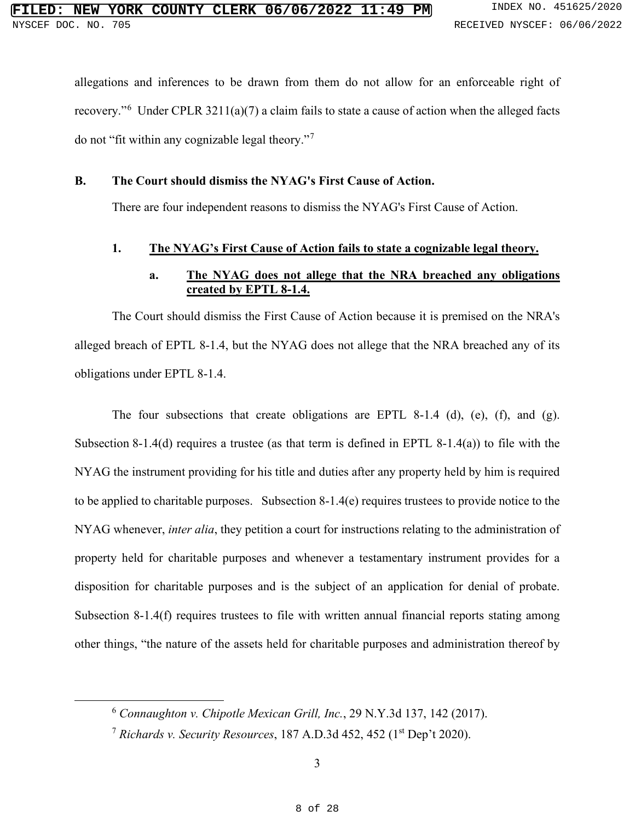<span id="page-7-7"></span>allegations and inferences to be drawn from them do not allow for an enforceable right of recovery."<sup>[6](#page-7-8)</sup> Under CPLR 3211(a)(7) a claim fails to state a cause of action when the alleged facts do not "fit within any cognizable legal theory."[7](#page-7-9)

#### <span id="page-7-0"></span>**B. The Court should dismiss the NYAG's First Cause of Action.**

There are four independent reasons to dismiss the NYAG's First Cause of Action.

#### <span id="page-7-1"></span>**1. The NYAG's First Cause of Action fails to state a cognizable legal theory.**

#### <span id="page-7-6"></span><span id="page-7-5"></span><span id="page-7-4"></span>**a. The NYAG does not allege that the NRA breached any obligations created by EPTL 8-1.4.**

The Court should dismiss the First Cause of Action because it is premised on the NRA's alleged breach of EPTL 8-1.4, but the NYAG does not allege that the NRA breached any of its obligations under EPTL 8-1.4.

The four subsections that create obligations are EPTL 8-1.4 (d), (e), (f), and (g). Subsection 8-1.4(d) requires a trustee (as that term is defined in EPTL 8-1.4(a)) to file with the NYAG the instrument providing for his title and duties after any property held by him is required to be applied to charitable purposes. Subsection 8-1.4(e) requires trustees to provide notice to the NYAG whenever, *inter alia*, they petition a court for instructions relating to the administration of property held for charitable purposes and whenever a testamentary instrument provides for a disposition for charitable purposes and is the subject of an application for denial of probate. Subsection 8-1.4(f) requires trustees to file with written annual financial reports stating among other things, "the nature of the assets held for charitable purposes and administration thereof by

<span id="page-7-8"></span><span id="page-7-2"></span><sup>6</sup> *Connaughton v. Chipotle Mexican Grill, Inc.*, 29 N.Y.3d 137, 142 (2017).

<span id="page-7-9"></span><span id="page-7-3"></span><sup>7</sup> *Richards v. Security Resources*, 187 A.D.3d 452, 452 (1st Dep't 2020).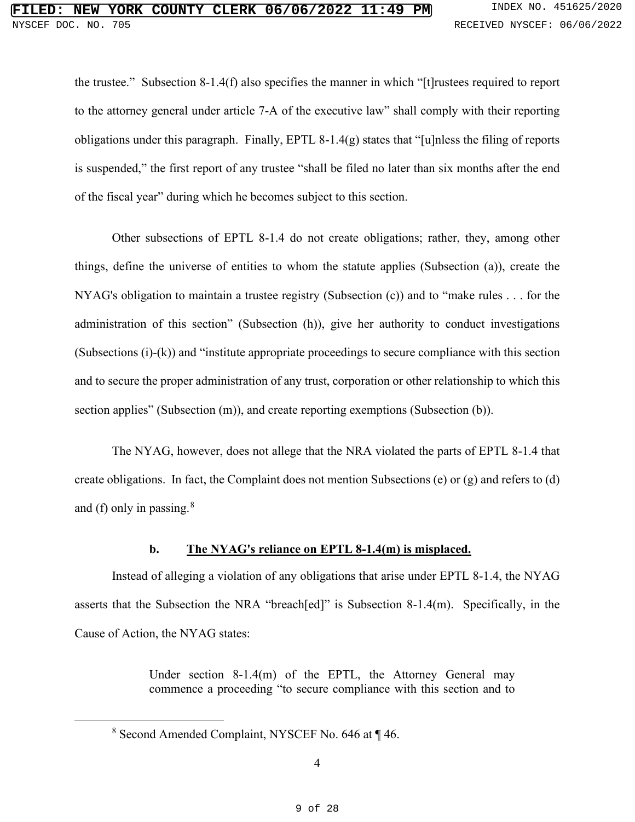<span id="page-8-1"></span>the trustee." Subsection 8-1.4(f) also specifies the manner in which "[t]rustees required to report to the attorney general under article 7-A of the executive law" shall comply with their reporting obligations under this paragraph. Finally, EPTL 8-1.4(g) states that "[u]nless the filing of reports is suspended," the first report of any trustee "shall be filed no later than six months after the end of the fiscal year" during which he becomes subject to this section.

<span id="page-8-0"></span>Other subsections of EPTL 8-1.4 do not create obligations; rather, they, among other things, define the universe of entities to whom the statute applies (Subsection (a)), create the NYAG's obligation to maintain a trustee registry (Subsection (c)) and to "make rules . . . for the administration of this section" (Subsection (h)), give her authority to conduct investigations (Subsections (i)-(k)) and "institute appropriate proceedings to secure compliance with this section and to secure the proper administration of any trust, corporation or other relationship to which this section applies" (Subsection (m)), and create reporting exemptions (Subsection (b)).

The NYAG, however, does not allege that the NRA violated the parts of EPTL 8-1.4 that create obligations. In fact, the Complaint does not mention Subsections (e) or (g) and refers to (d) and (f) only in passing. $8$ 

#### <span id="page-8-2"></span>**b. The NYAG's reliance on EPTL 8-1.4(m) is misplaced.**

Instead of alleging a violation of any obligations that arise under EPTL 8-1.4, the NYAG asserts that the Subsection the NRA "breach[ed]" is Subsection 8-1.4(m). Specifically, in the Cause of Action, the NYAG states:

> Under section 8-1.4(m) of the EPTL, the Attorney General may commence a proceeding "to secure compliance with this section and to

<span id="page-8-3"></span><sup>8</sup> Second Amended Complaint, NYSCEF No. 646 at ¶ 46.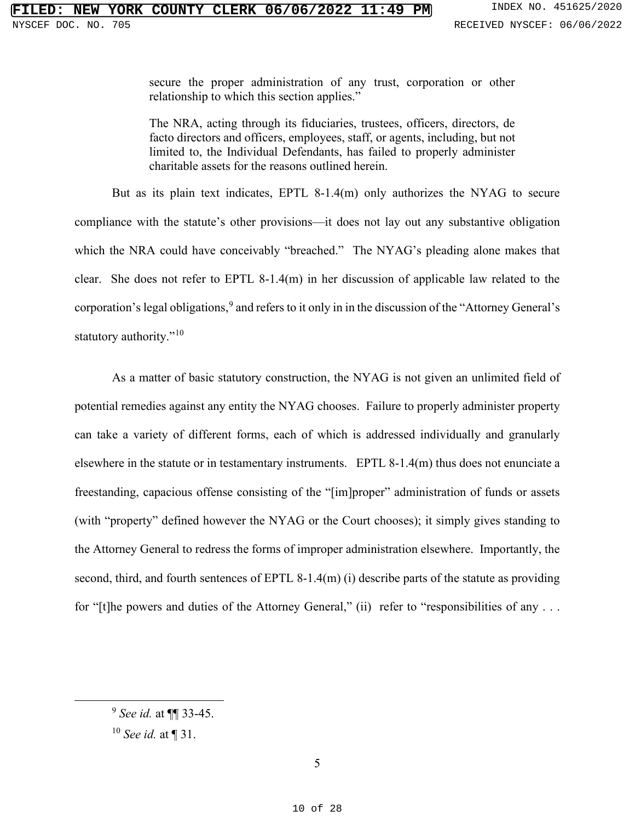secure the proper administration of any trust, corporation or other relationship to which this section applies."

The NRA, acting through its fiduciaries, trustees, officers, directors, de facto directors and officers, employees, staff, or agents, including, but not limited to, the Individual Defendants, has failed to properly administer charitable assets for the reasons outlined herein.

But as its plain text indicates, EPTL 8-1.4(m) only authorizes the NYAG to secure compliance with the statute's other provisions—it does not lay out any substantive obligation which the NRA could have conceivably "breached." The NYAG's pleading alone makes that clear. She does not refer to EPTL 8-1.4(m) in her discussion of applicable law related to the corporation's legal obligations,<sup>[9](#page-9-1)</sup> and refers to it only in in the discussion of the "Attorney General's statutory authority."<sup>[10](#page-9-2)</sup>

As a matter of basic statutory construction, the NYAG is not given an unlimited field of potential remedies against any entity the NYAG chooses. Failure to properly administer property can take a variety of different forms, each of which is addressed individually and granularly elsewhere in the statute or in testamentary instruments. EPTL 8-1.4(m) thus does not enunciate a freestanding, capacious offense consisting of the "[im]proper" administration of funds or assets (with "property" defined however the NYAG or the Court chooses); it simply gives standing to the Attorney General to redress the forms of improper administration elsewhere. Importantly, the second, third, and fourth sentences of EPTL 8-1.4(m) (i) describe parts of the statute as providing for "[t]he powers and duties of the Attorney General," (ii) refer to "responsibilities of any ...

<span id="page-9-2"></span><span id="page-9-1"></span><span id="page-9-0"></span><sup>9</sup> *See id.* at ¶¶ 33-45.

<sup>10</sup> *See id.* at ¶ 31.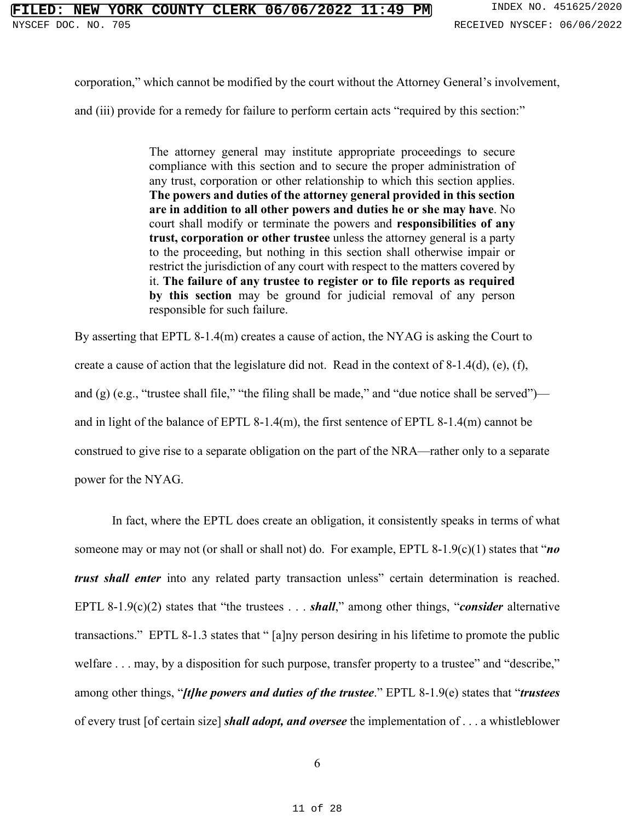corporation," which cannot be modified by the court without the Attorney General's involvement,

and (iii) provide for a remedy for failure to perform certain acts "required by this section:"

The attorney general may institute appropriate proceedings to secure compliance with this section and to secure the proper administration of any trust, corporation or other relationship to which this section applies. **The powers and duties of the attorney general provided in this section are in addition to all other powers and duties he or she may have**. No court shall modify or terminate the powers and **responsibilities of any trust, corporation or other trustee** unless the attorney general is a party to the proceeding, but nothing in this section shall otherwise impair or restrict the jurisdiction of any court with respect to the matters covered by it. **The failure of any trustee to register or to file reports as required by this section** may be ground for judicial removal of any person responsible for such failure.

By asserting that EPTL 8-1.4(m) creates a cause of action, the NYAG is asking the Court to create a cause of action that the legislature did not. Read in the context of 8-1.4(d), (e), (f), and (g) (e.g., "trustee shall file," "the filing shall be made," and "due notice shall be served") and in light of the balance of EPTL 8-1.4(m), the first sentence of EPTL 8-1.4(m) cannot be construed to give rise to a separate obligation on the part of the NRA—rather only to a separate power for the NYAG.

<span id="page-10-4"></span><span id="page-10-3"></span><span id="page-10-2"></span><span id="page-10-1"></span><span id="page-10-0"></span>In fact, where the EPTL does create an obligation, it consistently speaks in terms of what someone may or may not (or shall or shall not) do. For example, EPTL 8-1.9(c)(1) states that "*no trust shall enter* into any related party transaction unless" certain determination is reached. EPTL 8-1.9(c)(2) states that "the trustees . . . *shall*," among other things, "*consider* alternative transactions." EPTL 8-1.3 states that " [a]ny person desiring in his lifetime to promote the public welfare . . . may, by a disposition for such purpose, transfer property to a trustee" and "describe," among other things, "*[t]he powers and duties of the trustee*." EPTL 8-1.9(e) states that "*trustees* of every trust [of certain size] *shall adopt, and oversee* the implementation of . . . a whistleblower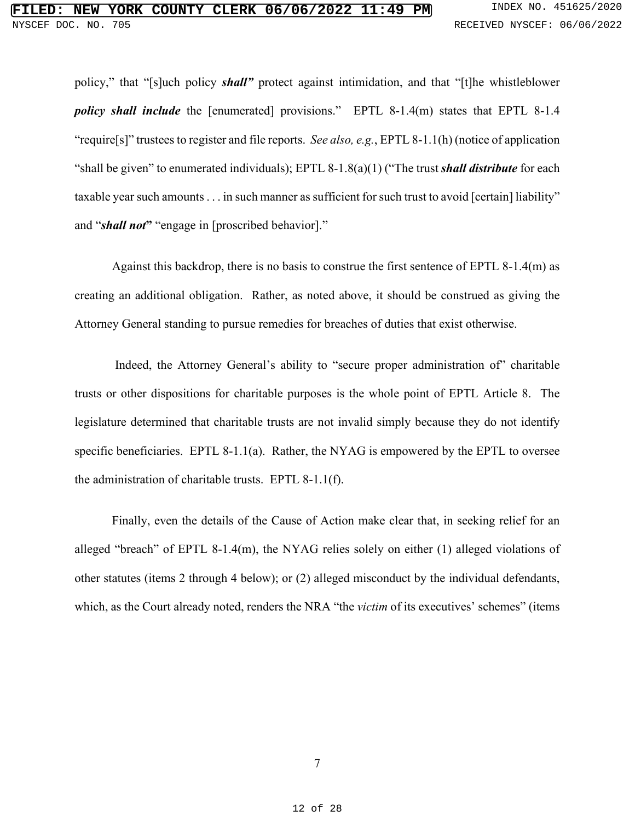<span id="page-11-4"></span><span id="page-11-3"></span><span id="page-11-2"></span>policy," that "[s]uch policy *shall"* protect against intimidation, and that "[t]he whistleblower *policy shall include* the [enumerated] provisions." EPTL 8-1.4(m) states that EPTL 8-1.4 "require[s]" trustees to register and file reports. *See also, e.g.*, EPTL 8-1.1(h) (notice of application "shall be given" to enumerated individuals); EPTL 8-1.8(a)(1) ("The trust *shall distribute* for each taxable year such amounts . . . in such manner as sufficient for such trust to avoid [certain] liability" and "*shall not***"** "engage in [proscribed behavior]."

Against this backdrop, there is no basis to construe the first sentence of EPTL 8-1.4(m) as creating an additional obligation. Rather, as noted above, it should be construed as giving the Attorney General standing to pursue remedies for breaches of duties that exist otherwise.

Indeed, the Attorney General's ability to "secure proper administration of" charitable trusts or other dispositions for charitable purposes is the whole point of EPTL Article 8. The legislature determined that charitable trusts are not invalid simply because they do not identify specific beneficiaries. EPTL 8-1.1(a). Rather, the NYAG is empowered by the EPTL to oversee the administration of charitable trusts. EPTL 8-1.1(f).

<span id="page-11-1"></span><span id="page-11-0"></span>Finally, even the details of the Cause of Action make clear that, in seeking relief for an alleged "breach" of EPTL 8-1.4(m), the NYAG relies solely on either (1) alleged violations of other statutes (items 2 through 4 below); or (2) alleged misconduct by the individual defendants, which, as the Court already noted, renders the NRA "the *victim* of its executives' schemes" (items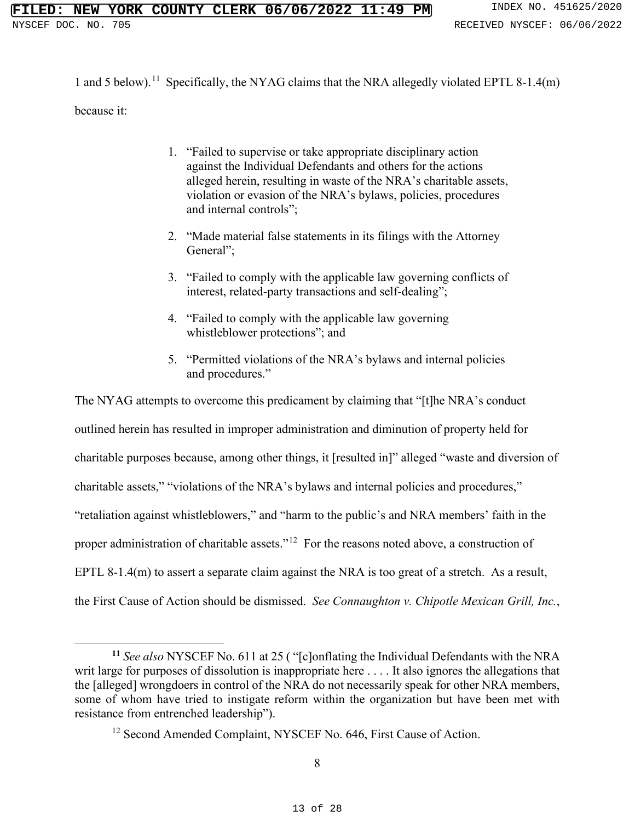1 and 5 below).<sup>11</sup> Specifically, the NYAG claims that the NRA allegedly violated EPTL 8-1.4(m) because it:

- 1. "Failed to supervise or take appropriate disciplinary action against the Individual Defendants and others for the actions alleged herein, resulting in waste of the NRA's charitable assets, violation or evasion of the NRA's bylaws, policies, procedures and internal controls";
- 2. "Made material false statements in its filings with the Attorney General";
- 3. "Failed to comply with the applicable law governing conflicts of interest, related-party transactions and self-dealing";
- 4. "Failed to comply with the applicable law governing whistleblower protections"; and
- 5. "Permitted violations of the NRA's bylaws and internal policies and procedures."

The NYAG attempts to overcome this predicament by claiming that "[t]he NRA's conduct outlined herein has resulted in improper administration and diminution of property held for charitable purposes because, among other things, it [resulted in]" alleged "waste and diversion of charitable assets," "violations of the NRA's bylaws and internal policies and procedures," "retaliation against whistleblowers," and "harm to the public's and NRA members' faith in the proper administration of charitable assets."[12](#page-12-2) For the reasons noted above, a construction of EPTL 8-1.4(m) to assert a separate claim against the NRA is too great of a stretch. As a result, the First Cause of Action should be dismissed. *See Connaughton v. Chipotle Mexican Grill, Inc.*,

<span id="page-12-2"></span><span id="page-12-1"></span>**<sup>11</sup>** *See also* NYSCEF No. 611 at 25 ( "[c]onflating the Individual Defendants with the NRA writ large for purposes of dissolution is inappropriate here ... . It also ignores the allegations that the [alleged] wrongdoers in control of the NRA do not necessarily speak for other NRA members, some of whom have tried to instigate reform within the organization but have been met with resistance from entrenched leadership").

<span id="page-12-0"></span><sup>&</sup>lt;sup>12</sup> Second Amended Complaint, NYSCEF No. 646, First Cause of Action.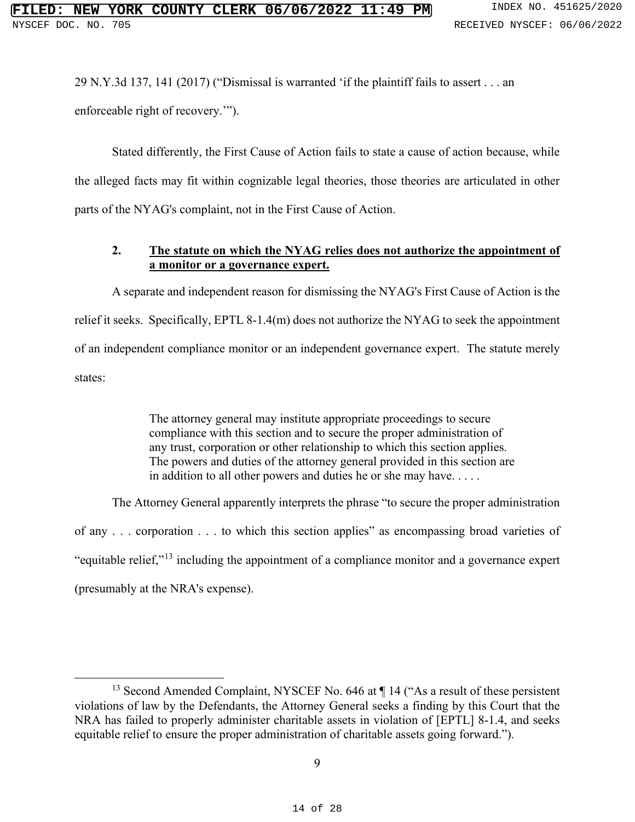29 N.Y.3d 137, 141 (2017) ("Dismissal is warranted 'if the plaintiff fails to assert . . . an enforceable right of recovery.'").

Stated differently, the First Cause of Action fails to state a cause of action because, while the alleged facts may fit within cognizable legal theories, those theories are articulated in other parts of the NYAG's complaint, not in the First Cause of Action.

## <span id="page-13-0"></span>**2. The statute on which the NYAG relies does not authorize the appointment of a monitor or a governance expert.**

A separate and independent reason for dismissing the NYAG's First Cause of Action is the relief it seeks. Specifically, EPTL 8-1.4(m) does not authorize the NYAG to seek the appointment of an independent compliance monitor or an independent governance expert. The statute merely states:

> The attorney general may institute appropriate proceedings to secure compliance with this section and to secure the proper administration of any trust, corporation or other relationship to which this section applies. The powers and duties of the attorney general provided in this section are in addition to all other powers and duties he or she may have. . . . .

The Attorney General apparently interprets the phrase "to secure the proper administration of any . . . corporation . . . to which this section applies" as encompassing broad varieties of "equitable relief,"[13](#page-13-1) including the appointment of a compliance monitor and a governance expert (presumably at the NRA's expense).

<span id="page-13-1"></span><sup>&</sup>lt;sup>13</sup> Second Amended Complaint, NYSCEF No. 646 at ¶ 14 ("As a result of these persistent violations of law by the Defendants, the Attorney General seeks a finding by this Court that the NRA has failed to properly administer charitable assets in violation of [EPTL] 8-1.4, and seeks equitable relief to ensure the proper administration of charitable assets going forward.").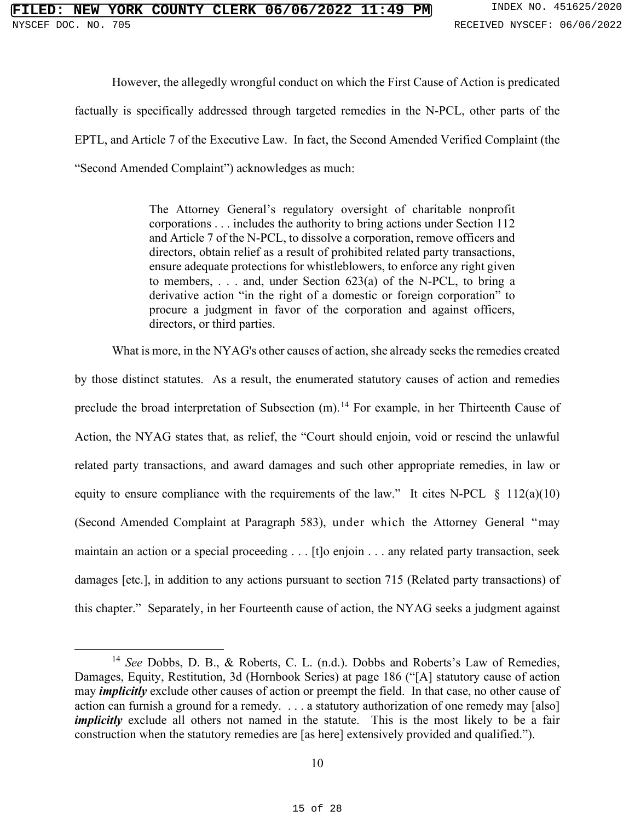However, the allegedly wrongful conduct on which the First Cause of Action is predicated factually is specifically addressed through targeted remedies in the N-PCL, other parts of the EPTL, and Article 7 of the Executive Law. In fact, the Second Amended Verified Complaint (the "Second Amended Complaint") acknowledges as much:

> <span id="page-14-0"></span>The Attorney General's regulatory oversight of charitable nonprofit corporations . . . includes the authority to bring actions under Section 112 and Article 7 of the N-PCL, to dissolve a corporation, remove officers and directors, obtain relief as a result of prohibited related party transactions, ensure adequate protections for whistleblowers, to enforce any right given to members, . . . and, under Section 623(a) of the N-PCL, to bring a derivative action "in the right of a domestic or foreign corporation" to procure a judgment in favor of the corporation and against officers, directors, or third parties.

<span id="page-14-1"></span>What is more, in the NYAG's other causes of action, she already seeks the remedies created by those distinct statutes. As a result, the enumerated statutory causes of action and remedies preclude the broad interpretation of Subsection  $(m)$ .<sup>[14](#page-14-2)</sup> For example, in her Thirteenth Cause of Action, the NYAG states that, as relief, the "Court should enjoin, void or rescind the unlawful related party transactions, and award damages and such other appropriate remedies, in law or equity to ensure compliance with the requirements of the law." It cites N-PCL  $\S$  112(a)(10) (Second Amended Complaint at Paragraph 583), under which the Attorney General "may maintain an action or a special proceeding . . . [t]o enjoin . . . any related party transaction, seek damages [etc.], in addition to any actions pursuant to section 715 (Related party transactions) of this chapter." Separately, in her Fourteenth cause of action, the NYAG seeks a judgment against

<span id="page-14-2"></span><sup>&</sup>lt;sup>14</sup> *See* Dobbs, D. B., & Roberts, C. L. (n.d.). Dobbs and Roberts's Law of Remedies, Damages, Equity, Restitution, 3d (Hornbook Series) at page 186 ("[A] statutory cause of action may *implicitly* exclude other causes of action or preempt the field. In that case, no other cause of action can furnish a ground for a remedy. . . . a statutory authorization of one remedy may [also] *implicitly* exclude all others not named in the statute. This is the most likely to be a fair construction when the statutory remedies are [as here] extensively provided and qualified.").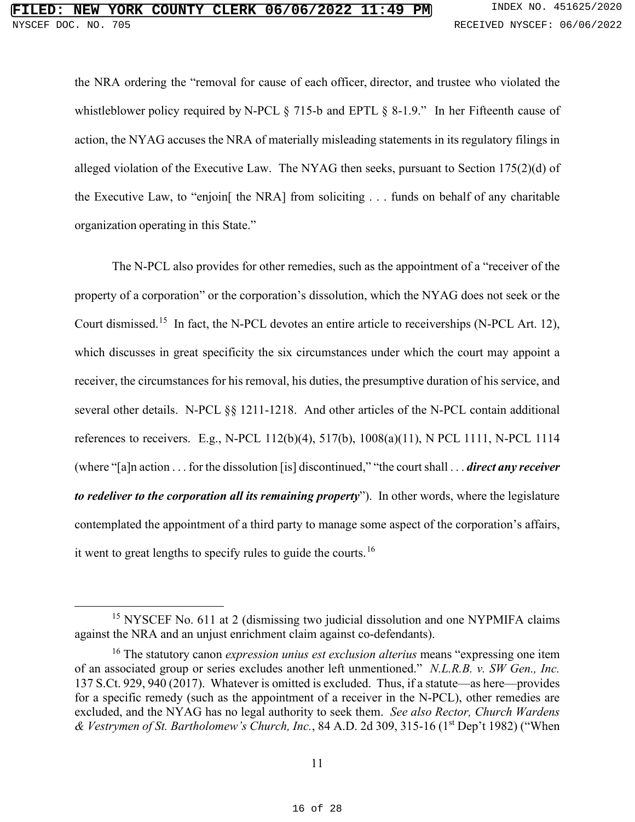<span id="page-15-6"></span><span id="page-15-2"></span><span id="page-15-1"></span>the NRA ordering the "removal for cause of each officer, director, and trustee who violated the whistleblower policy required by N-PCL § 715-b and EPTL § 8-1.9." In her Fifteenth cause of action, the NYAG accuses the NRA of materially misleading statements in its regulatory filings in alleged violation of the Executive Law. The NYAG then seeks, pursuant to Section 175(2)(d) of the Executive Law, to "enjoin[ the NRA] from soliciting . . . funds on behalf of any charitable organization operating in this State."

<span id="page-15-7"></span><span id="page-15-5"></span><span id="page-15-4"></span><span id="page-15-3"></span>The N-PCL also provides for other remedies, such as the appointment of a "receiver of the property of a corporation" or the corporation's dissolution, which the NYAG does not seek or the Court dismissed.<sup>15</sup> In fact, the N-PCL devotes an entire article to receiverships (N-PCL Art. 12), which discusses in great specificity the six circumstances under which the court may appoint a receiver, the circumstances for his removal, his duties, the presumptive duration of his service, and several other details. N-PCL §§ 1211-1218. And other articles of the N-PCL contain additional references to receivers. E.g., N-PCL 112(b)(4), 517(b), 1008(a)(11), N PCL 1111, N-PCL 1114 (where "[a]n action . . . for the dissolution [is] discontinued," "the court shall . . . *direct any receiver to redeliver to the corporation all its remaining property*"). In other words, where the legislature contemplated the appointment of a third party to manage some aspect of the corporation's affairs, it went to great lengths to specify rules to guide the courts.<sup>[16](#page-15-9)</sup>

<span id="page-15-8"></span><sup>&</sup>lt;sup>15</sup> NYSCEF No. 611 at 2 (dismissing two judicial dissolution and one NYPMIFA claims against the NRA and an unjust enrichment claim against co-defendants).

<span id="page-15-9"></span><span id="page-15-0"></span><sup>16</sup> The statutory canon *expression unius est exclusion alterius* means "expressing one item of an associated group or series excludes another left unmentioned." *N.L.R.B. v. SW Gen., Inc.* 137 S.Ct. 929, 940 (2017). Whatever is omitted is excluded. Thus, if a statute—as here—provides for a specific remedy (such as the appointment of a receiver in the N-PCL), other remedies are excluded, and the NYAG has no legal authority to seek them. *See also Rector, Church Wardens & Vestrymen of St. Bartholomew's Church, Inc.*, 84 A.D. 2d 309, 315-16 (1st Dep't 1982) ("When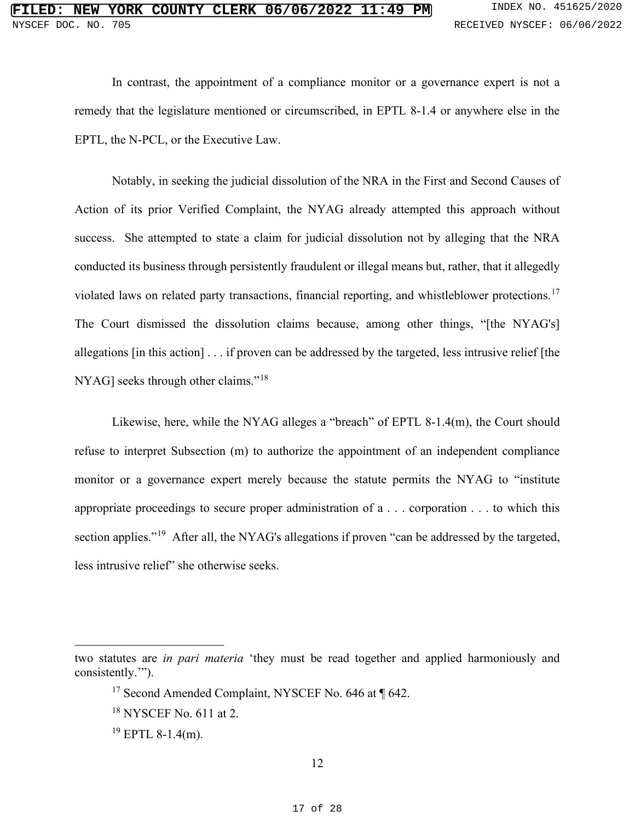<span id="page-16-0"></span>In contrast, the appointment of a compliance monitor or a governance expert is not a remedy that the legislature mentioned or circumscribed, in EPTL 8-1.4 or anywhere else in the EPTL, the N-PCL, or the Executive Law.

Notably, in seeking the judicial dissolution of the NRA in the First and Second Causes of Action of its prior Verified Complaint, the NYAG already attempted this approach without success. She attempted to state a claim for judicial dissolution not by alleging that the NRA conducted its business through persistently fraudulent or illegal means but, rather, that it allegedly violated laws on related party transactions, financial reporting, and whistleblower protections. [17](#page-16-1) The Court dismissed the dissolution claims because, among other things, "[the NYAG's] allegations [in this action] . . . if proven can be addressed by the targeted, less intrusive relief [the NYAG] seeks through other claims."[18](#page-16-2)

Likewise, here, while the NYAG alleges a "breach" of EPTL 8-1.4(m), the Court should refuse to interpret Subsection (m) to authorize the appointment of an independent compliance monitor or a governance expert merely because the statute permits the NYAG to "institute appropriate proceedings to secure proper administration of a . . . corporation . . . to which this section applies."<sup>19</sup> After all, the NYAG's allegations if proven "can be addressed by the targeted, less intrusive relief" she otherwise seeks.

<span id="page-16-3"></span><span id="page-16-2"></span><span id="page-16-1"></span>two statutes are *in pari materia* 'they must be read together and applied harmoniously and consistently.'").

<sup>&</sup>lt;sup>17</sup> Second Amended Complaint, NYSCEF No. 646 at ¶ 642.

<sup>18</sup> NYSCEF No. 611 at 2.

 $19$  EPTL 8-1.4(m).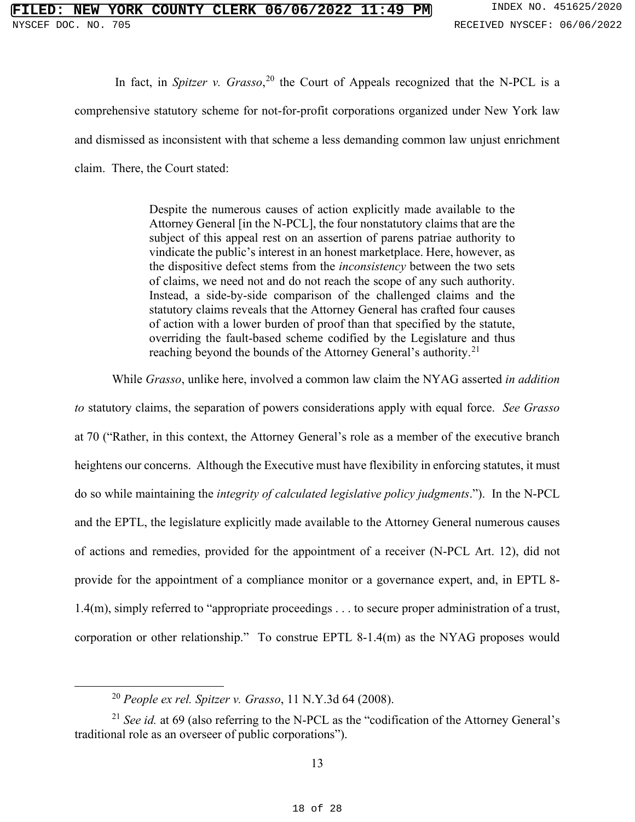<span id="page-17-0"></span>In fact, in *Spitzer v. Grasso*, [20](#page-17-2) the Court of Appeals recognized that the N-PCL is a comprehensive statutory scheme for not-for-profit corporations organized under New York law and dismissed as inconsistent with that scheme a less demanding common law unjust enrichment claim. There, the Court stated:

> Despite the numerous causes of action explicitly made available to the Attorney General [in the N-PCL], the four nonstatutory claims that are the subject of this appeal rest on an assertion of parens patriae authority to vindicate the public's interest in an honest marketplace. Here, however, as the dispositive defect stems from the *inconsistency* between the two sets of claims, we need not and do not reach the scope of any such authority. Instead, a side-by-side comparison of the challenged claims and the statutory claims reveals that the Attorney General has crafted four causes of action with a lower burden of proof than that specified by the statute, overriding the fault-based scheme codified by the Legislature and thus reaching beyond the bounds of the Attorney General's authority.<sup>[21](#page-17-3)</sup>

While *Grasso*, unlike here, involved a common law claim the NYAG asserted *in addition* 

*to* statutory claims, the separation of powers considerations apply with equal force. *See Grasso* at 70 ("Rather, in this context, the Attorney General's role as a member of the executive branch heightens our concerns. Although the Executive must have flexibility in enforcing statutes, it must do so while maintaining the *integrity of calculated legislative policy judgments*."). In the N-PCL and the EPTL, the legislature explicitly made available to the Attorney General numerous causes of actions and remedies, provided for the appointment of a receiver (N-PCL Art. 12), did not provide for the appointment of a compliance monitor or a governance expert, and, in EPTL 8- 1.4(m), simply referred to "appropriate proceedings . . . to secure proper administration of a trust, corporation or other relationship." To construe EPTL 8-1.4(m) as the NYAG proposes would

<span id="page-17-1"></span><sup>20</sup> *People ex rel. Spitzer v. Grasso*, 11 N.Y.3d 64 (2008).

<span id="page-17-3"></span><span id="page-17-2"></span><sup>21</sup> *See id.* at 69 (also referring to the N-PCL as the "codification of the Attorney General's traditional role as an overseer of public corporations").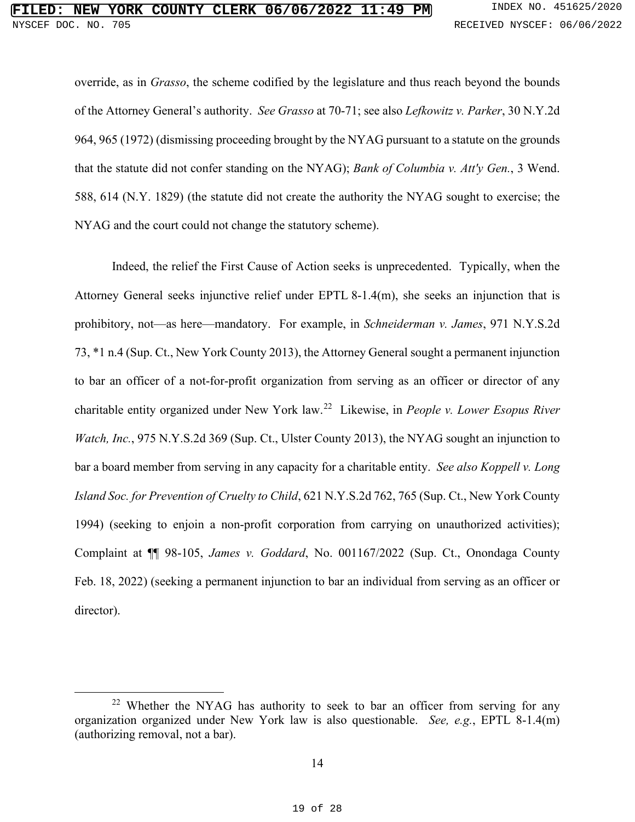<span id="page-18-6"></span><span id="page-18-3"></span><span id="page-18-0"></span>override, as in *Grasso*, the scheme codified by the legislature and thus reach beyond the bounds of the Attorney General's authority. *See Grasso* at 70-71; see also *Lefkowitz v. Parker*, 30 N.Y.2d 964, 965 (1972) (dismissing proceeding brought by the NYAG pursuant to a statute on the grounds that the statute did not confer standing on the NYAG); *Bank of Columbia v. Att'y Gen.*, 3 Wend. 588, 614 (N.Y. 1829) (the statute did not create the authority the NYAG sought to exercise; the NYAG and the court could not change the statutory scheme).

<span id="page-18-5"></span><span id="page-18-4"></span><span id="page-18-2"></span>Indeed, the relief the First Cause of Action seeks is unprecedented. Typically, when the Attorney General seeks injunctive relief under EPTL 8-1.4(m), she seeks an injunction that is prohibitory, not—as here—mandatory. For example, in *Schneiderman v. James*, 971 N.Y.S.2d 73, \*1 n.4 (Sup. Ct., New York County 2013), the Attorney General sought a permanent injunction to bar an officer of a not-for-profit organization from serving as an officer or director of any charitable entity organized under New York law.[22](#page-18-7) Likewise, in *People v. Lower Esopus River Watch, Inc.*, 975 N.Y.S.2d 369 (Sup. Ct., Ulster County 2013), the NYAG sought an injunction to bar a board member from serving in any capacity for a charitable entity. *See also Koppell v. Long Island Soc. for Prevention of Cruelty to Child*, 621 N.Y.S.2d 762, 765 (Sup. Ct., New York County 1994) (seeking to enjoin a non-profit corporation from carrying on unauthorized activities); Complaint at ¶¶ 98-105, *James v. Goddard*, No. 001167/2022 (Sup. Ct., Onondaga County Feb. 18, 2022) (seeking a permanent injunction to bar an individual from serving as an officer or director).

<span id="page-18-7"></span><span id="page-18-1"></span><sup>&</sup>lt;sup>22</sup> Whether the NYAG has authority to seek to bar an officer from serving for any organization organized under New York law is also questionable. *See, e.g.*, EPTL 8-1.4(m) (authorizing removal, not a bar).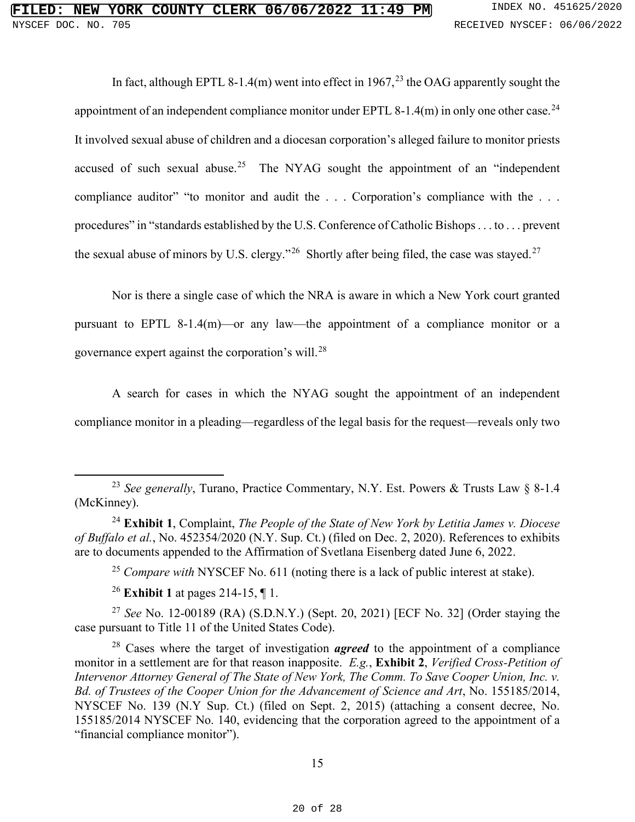In fact, although EPTL 8-1.4(m) went into effect in 1967,<sup>[23](#page-19-3)</sup> the OAG apparently sought the appointment of an independent compliance monitor under EPTL 8-1.4 $(m)$  in only one other case.<sup>[24](#page-19-4)</sup> It involved sexual abuse of children and a diocesan corporation's alleged failure to monitor priests accused of such sexual abuse.<sup>[25](#page-19-5)</sup> The NYAG sought the appointment of an "independent" compliance auditor" "to monitor and audit the . . . Corporation's compliance with the . . . procedures" in "standards established by the U.S. Conference of Catholic Bishops . . . to . . . prevent the sexual abuse of minors by U.S. clergy."<sup>[26](#page-19-6)</sup> Shortly after being filed, the case was stayed.<sup>[27](#page-19-7)</sup>

Nor is there a single case of which the NRA is aware in which a New York court granted pursuant to EPTL 8-1.4(m)—or any law—the appointment of a compliance monitor or a governance expert against the corporation's will.[28](#page-19-8)

A search for cases in which the NYAG sought the appointment of an independent compliance monitor in a pleading—regardless of the legal basis for the request—reveals only two

<span id="page-19-2"></span><span id="page-19-0"></span><sup>25</sup> *Compare with* NYSCEF No. 611 (noting there is a lack of public interest at stake).

<span id="page-19-1"></span><sup>26</sup> **Exhibit 1** at pages 214-15, ¶ 1.

<span id="page-19-7"></span><span id="page-19-6"></span><span id="page-19-5"></span><sup>27</sup> *See* No. 12-00189 (RA) (S.D.N.Y.) (Sept. 20, 2021) [ECF No. 32] (Order staying the case pursuant to Title 11 of the United States Code).

<span id="page-19-8"></span><sup>28</sup> Cases where the target of investigation *agreed* to the appointment of a compliance monitor in a settlement are for that reason inapposite. *E.g.*, **Exhibit 2**, *Verified Cross-Petition of Intervenor Attorney General of The State of New York, The Comm. To Save Cooper Union, Inc. v. Bd. of Trustees of the Cooper Union for the Advancement of Science and Art*, No. 155185/2014, NYSCEF No. 139 (N.Y Sup. Ct.) (filed on Sept. 2, 2015) (attaching a consent decree, No. 155185/2014 NYSCEF No. 140, evidencing that the corporation agreed to the appointment of a "financial compliance monitor").

<span id="page-19-3"></span><sup>23</sup> *See generally*, Turano, Practice Commentary, N.Y. Est. Powers & Trusts Law § 8-1.4 (McKinney).

<span id="page-19-4"></span><sup>24</sup> **Exhibit 1**, Complaint, *The People of the State of New York by Letitia James v. Diocese of Buffalo et al.*, No. 452354/2020 (N.Y. Sup. Ct.) (filed on Dec. 2, 2020). References to exhibits are to documents appended to the Affirmation of Svetlana Eisenberg dated June 6, 2022.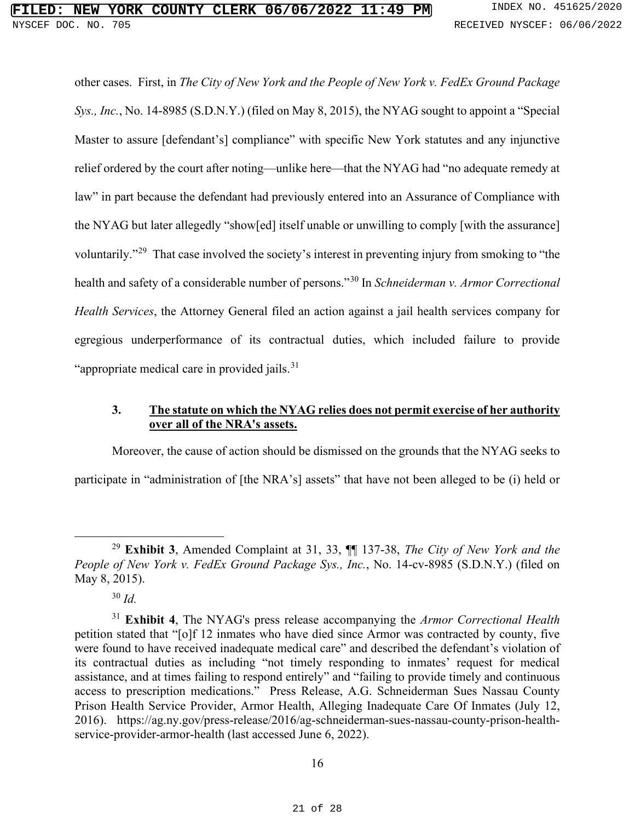<span id="page-20-1"></span>other cases. First, in *The City of New York and the People of New York v. FedEx Ground Package Sys., Inc.*, No. 14-8985 (S.D.N.Y.) (filed on May 8, 2015), the NYAG sought to appoint a "Special Master to assure [defendant's] compliance" with specific New York statutes and any injunctive relief ordered by the court after noting—unlike here—that the NYAG had "no adequate remedy at law" in part because the defendant had previously entered into an Assurance of Compliance with the NYAG but later allegedly "show[ed] itself unable or unwilling to comply [with the assurance] voluntarily."[29](#page-20-2) That case involved the society's interest in preventing injury from smoking to "the health and safety of a considerable number of persons."[30](#page-20-3) In *Schneiderman v. Armor Correctional Health Services*, the Attorney General filed an action against a jail health services company for egregious underperformance of its contractual duties, which included failure to provide "appropriate medical care in provided jails.<sup>[31](#page-20-4)</sup>

#### <span id="page-20-0"></span>**3. The statute on which the NYAG relies does not permit exercise of her authority over all of the NRA's assets.**

Moreover, the cause of action should be dismissed on the grounds that the NYAG seeks to participate in "administration of [the NRA's] assets" that have not been alleged to be (i) held or

<span id="page-20-2"></span><sup>29</sup> **Exhibit 3**, Amended Complaint at 31, 33, ¶¶ 137-38, *The City of New York and the People of New York v. FedEx Ground Package Sys., Inc.*, No. 14-cv-8985 (S.D.N.Y.) (filed on May 8, 2015).

<sup>30</sup> *Id.*

<span id="page-20-4"></span><span id="page-20-3"></span><sup>31</sup> **Exhibit 4**, The NYAG's press release accompanying the *Armor Correctional Health* petition stated that "[o]f 12 inmates who have died since Armor was contracted by county, five were found to have received inadequate medical care" and described the defendant's violation of its contractual duties as including "not timely responding to inmates' request for medical assistance, and at times failing to respond entirely" and "failing to provide timely and continuous access to prescription medications." Press Release, A.G. Schneiderman Sues Nassau County Prison Health Service Provider, Armor Health, Alleging Inadequate Care Of Inmates (July 12, 2016). https://ag.ny.gov/press-release/2016/ag-schneiderman-sues-nassau-county-prison-healthservice-provider-armor-health (last accessed June 6, 2022).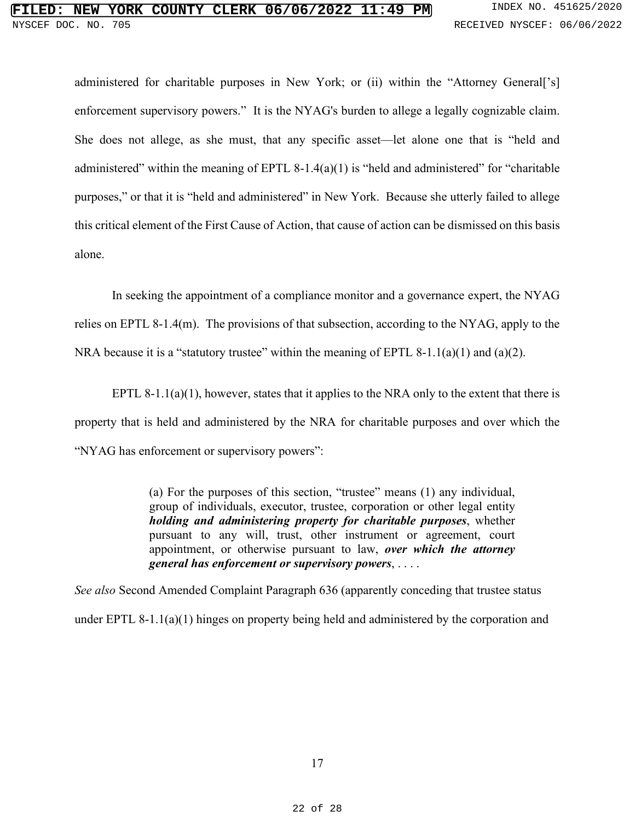<span id="page-21-2"></span>administered for charitable purposes in New York; or (ii) within the "Attorney General<sup>['s]</sup> enforcement supervisory powers." It is the NYAG's burden to allege a legally cognizable claim. She does not allege, as she must, that any specific asset—let alone one that is "held and administered" within the meaning of EPTL 8-1.4(a)(1) is "held and administered" for "charitable purposes," or that it is "held and administered" in New York. Because she utterly failed to allege this critical element of the First Cause of Action, that cause of action can be dismissed on this basis alone.

In seeking the appointment of a compliance monitor and a governance expert, the NYAG relies on EPTL 8-1.4(m). The provisions of that subsection, according to the NYAG, apply to the NRA because it is a "statutory trustee" within the meaning of EPTL 8-1.1(a)(1) and (a)(2).

<span id="page-21-0"></span>EPTL 8-1.1(a)(1), however, states that it applies to the NRA only to the extent that there is property that is held and administered by the NRA for charitable purposes and over which the "NYAG has enforcement or supervisory powers":

> <span id="page-21-1"></span>(a) For the purposes of this section, "trustee" means (1) any individual, group of individuals, executor, trustee, corporation or other legal entity *holding and administering property for charitable purposes*, whether pursuant to any will, trust, other instrument or agreement, court appointment, or otherwise pursuant to law, *over which the attorney general has enforcement or supervisory powers*, . . . .

*See also* Second Amended Complaint Paragraph 636 (apparently conceding that trustee status under EPTL 8-1.1(a)(1) hinges on property being held and administered by the corporation and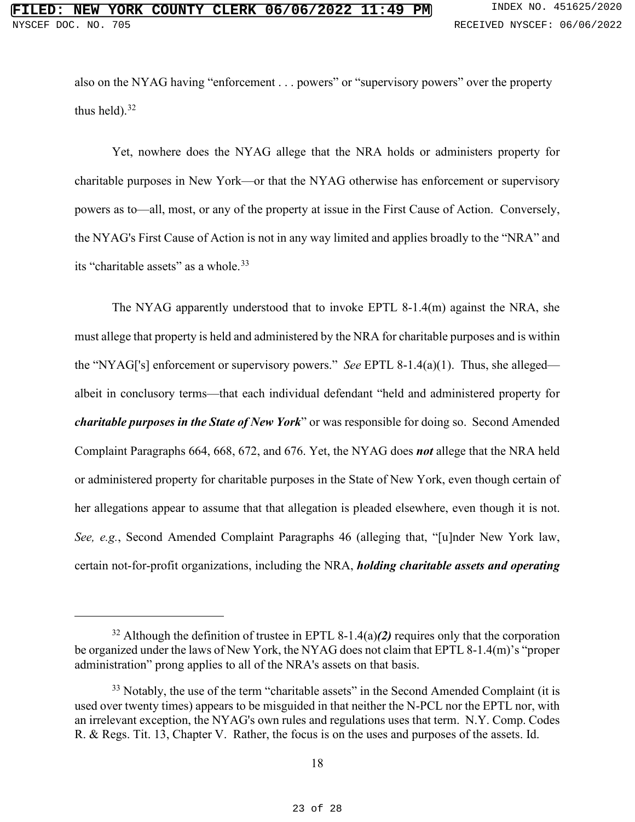also on the NYAG having "enforcement . . . powers" or "supervisory powers" over the property thus held). $32$ 

Yet, nowhere does the NYAG allege that the NRA holds or administers property for charitable purposes in New York—or that the NYAG otherwise has enforcement or supervisory powers as to—all, most, or any of the property at issue in the First Cause of Action. Conversely, the NYAG's First Cause of Action is not in any way limited and applies broadly to the "NRA" and its "charitable assets" as a whole.<sup>33</sup>

<span id="page-22-0"></span>The NYAG apparently understood that to invoke EPTL 8-1.4(m) against the NRA, she must allege that property is held and administered by the NRA for charitable purposes and is within the "NYAG['s] enforcement or supervisory powers." *See* EPTL 8-1.4(a)(1). Thus, she alleged albeit in conclusory terms—that each individual defendant "held and administered property for *charitable purposes in the State of New York*" or was responsible for doing so. Second Amended Complaint Paragraphs 664, 668, 672, and 676. Yet, the NYAG does *not* allege that the NRA held or administered property for charitable purposes in the State of New York, even though certain of her allegations appear to assume that that allegation is pleaded elsewhere, even though it is not. *See, e.g.*, Second Amended Complaint Paragraphs 46 (alleging that, "[u]nder New York law, certain not-for-profit organizations, including the NRA, *holding charitable assets and operating* 

<span id="page-22-4"></span><span id="page-22-2"></span><span id="page-22-1"></span><sup>32</sup> Although the definition of trustee in EPTL 8-1.4(a)*(2)* requires only that the corporation be organized under the laws of New York, the NYAG does not claim that EPTL 8-1.4(m)'s "proper administration" prong applies to all of the NRA's assets on that basis.

<span id="page-22-5"></span><span id="page-22-3"></span> $33$  Notably, the use of the term "charitable assets" in the Second Amended Complaint (it is used over twenty times) appears to be misguided in that neither the N-PCL nor the EPTL nor, with an irrelevant exception, the NYAG's own rules and regulations uses that term. N.Y. Comp. Codes R. & Regs. Tit. 13, Chapter V. Rather, the focus is on the uses and purposes of the assets. Id.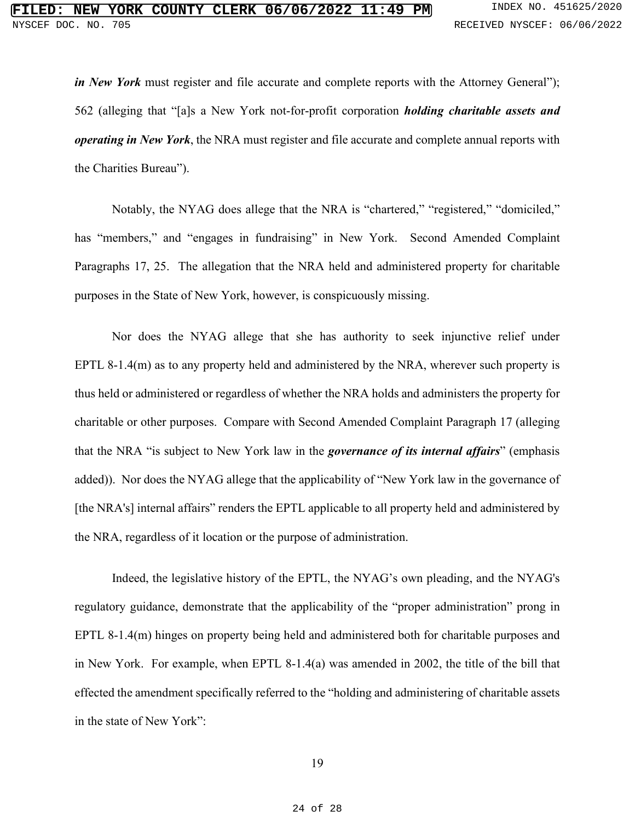*in New York* must register and file accurate and complete reports with the Attorney General"); 562 (alleging that "[a]s a New York not-for-profit corporation *holding charitable assets and operating in New York*, the NRA must register and file accurate and complete annual reports with the Charities Bureau").

Notably, the NYAG does allege that the NRA is "chartered," "registered," "domiciled," has "members," and "engages in fundraising" in New York. Second Amended Complaint Paragraphs 17, 25. The allegation that the NRA held and administered property for charitable purposes in the State of New York, however, is conspicuously missing.

Nor does the NYAG allege that she has authority to seek injunctive relief under EPTL 8-1.4(m) as to any property held and administered by the NRA, wherever such property is thus held or administered or regardless of whether the NRA holds and administers the property for charitable or other purposes. Compare with Second Amended Complaint Paragraph 17 (alleging that the NRA "is subject to New York law in the *governance of its internal affairs*" (emphasis added)). Nor does the NYAG allege that the applicability of "New York law in the governance of [the NRA's] internal affairs" renders the EPTL applicable to all property held and administered by the NRA, regardless of it location or the purpose of administration.

<span id="page-23-0"></span>Indeed, the legislative history of the EPTL, the NYAG's own pleading, and the NYAG's regulatory guidance, demonstrate that the applicability of the "proper administration" prong in EPTL 8-1.4(m) hinges on property being held and administered both for charitable purposes and in New York. For example, when EPTL 8-1.4(a) was amended in 2002, the title of the bill that effected the amendment specifically referred to the "holding and administering of charitable assets in the state of New York":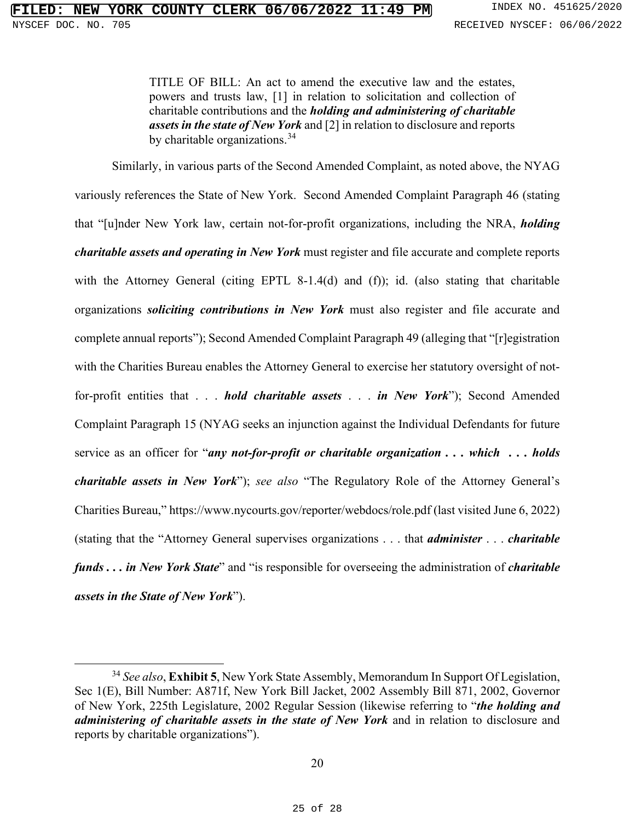TITLE OF BILL: An act to amend the executive law and the estates, powers and trusts law, [1] in relation to solicitation and collection of charitable contributions and the *holding and administering of charitable assets in the state of New York* and [2] in relation to disclosure and reports by charitable organizations.<sup>34</sup>

Similarly, in various parts of the Second Amended Complaint, as noted above, the NYAG variously references the State of New York. Second Amended Complaint Paragraph 46 (stating that "[u]nder New York law, certain not-for-profit organizations, including the NRA, *holding charitable assets and operating in New York* must register and file accurate and complete reports with the Attorney General (citing EPTL 8-1.4(d) and (f)); id. (also stating that charitable organizations *soliciting contributions in New York* must also register and file accurate and complete annual reports"); Second Amended Complaint Paragraph 49 (alleging that "[r]egistration with the Charities Bureau enables the Attorney General to exercise her statutory oversight of notfor-profit entities that . . . *hold charitable assets* . . . *in New York*"); Second Amended Complaint Paragraph 15 (NYAG seeks an injunction against the Individual Defendants for future service as an officer for "*any not-for-profit or charitable organization . . . which . . . holds charitable assets in New York*"); *see also* "The Regulatory Role of the Attorney General's Charities Bureau," https://www.nycourts.gov/reporter/webdocs/role.pdf (last visited June 6, 2022) (stating that the "Attorney General supervises organizations . . . that *administer* . . . *charitable funds . . . in New York State*" and "is responsible for overseeing the administration of *charitable assets in the State of New York*").

<span id="page-24-0"></span><sup>34</sup> *See also*, **Exhibit 5**, New York State Assembly, Memorandum In Support Of Legislation, Sec 1(E), Bill Number: A871f, New York Bill Jacket, 2002 Assembly Bill 871, 2002, Governor of New York, 225th Legislature, 2002 Regular Session (likewise referring to "*the holding and administering of charitable assets in the state of New York* and in relation to disclosure and reports by charitable organizations").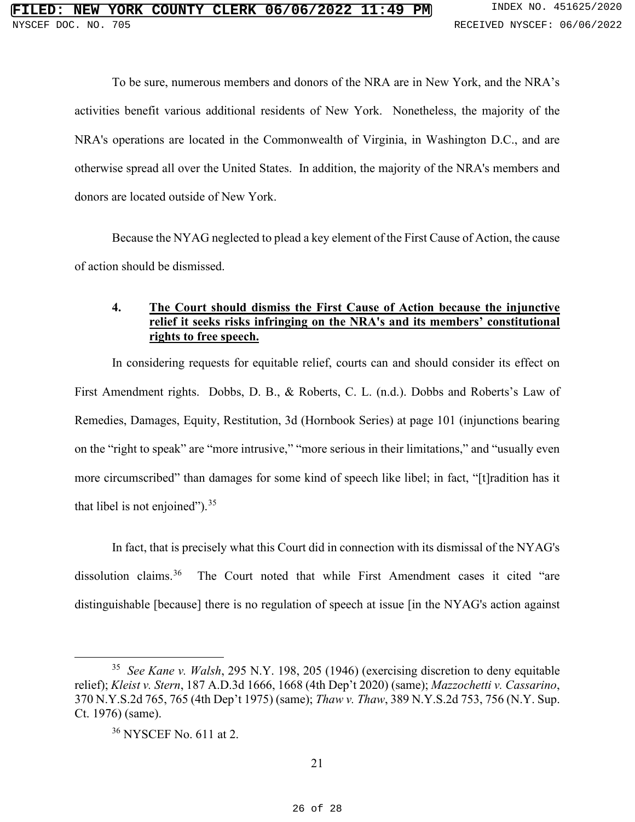To be sure, numerous members and donors of the NRA are in New York, and the NRA's activities benefit various additional residents of New York. Nonetheless, the majority of the NRA's operations are located in the Commonwealth of Virginia, in Washington D.C., and are otherwise spread all over the United States. In addition, the majority of the NRA's members and donors are located outside of New York.

Because the NYAG neglected to plead a key element of the First Cause of Action, the cause of action should be dismissed.

## <span id="page-25-0"></span>**4. The Court should dismiss the First Cause of Action because the injunctive relief it seeks risks infringing on the NRA's and its members' constitutional rights to free speech.**

In considering requests for equitable relief, courts can and should consider its effect on First Amendment rights. Dobbs, D. B., & Roberts, C. L. (n.d.). Dobbs and Roberts's Law of Remedies, Damages, Equity, Restitution, 3d (Hornbook Series) at page 101 (injunctions bearing on the "right to speak" are "more intrusive," "more serious in their limitations," and "usually even more circumscribed" than damages for some kind of speech like libel; in fact, "[t]radition has it that libel is not enjoined").  $35$ 

In fact, that is precisely what this Court did in connection with its dismissal of the NYAG's dissolution claims.<sup>[36](#page-25-6)</sup> The Court noted that while First Amendment cases it cited "are distinguishable [because] there is no regulation of speech at issue [in the NYAG's action against

<span id="page-25-6"></span><span id="page-25-5"></span><span id="page-25-2"></span><sup>35</sup> *See Kane v. Walsh*, 295 N.Y. 198, 205 (1946) (exercising discretion to deny equitable relief); *Kleist v. Stern*, 187 A.D.3d 1666, 1668 (4th Dep't 2020) (same); *Mazzochetti v. Cassarino*, 370 N.Y.S.2d 765, 765 (4th Dep't 1975) (same); *Thaw v. Thaw*, 389 N.Y.S.2d 753, 756 (N.Y. Sup. Ct. 1976) (same).

<span id="page-25-4"></span><span id="page-25-3"></span><span id="page-25-1"></span><sup>36</sup> NYSCEF No. 611 at 2.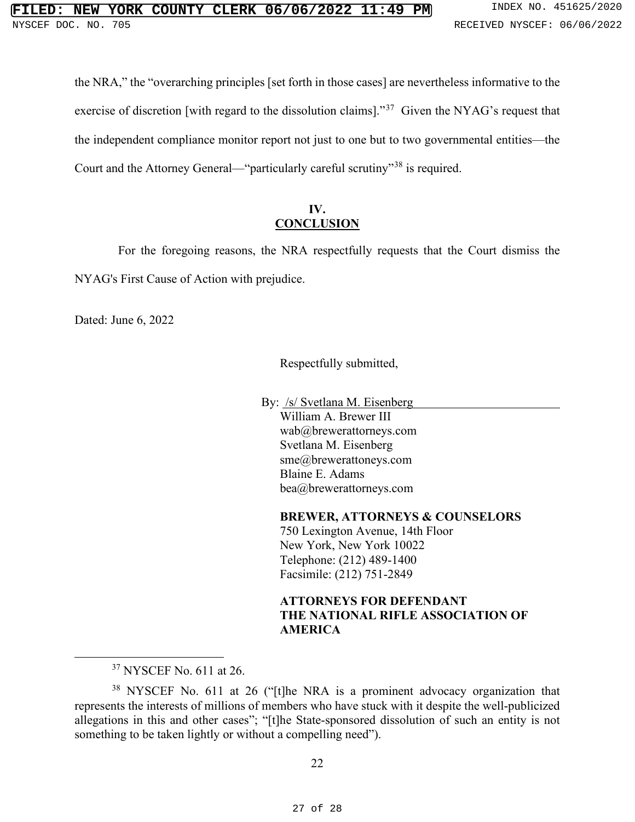the NRA," the "overarching principles [set forth in those cases] are nevertheless informative to the exercise of discretion [with regard to the dissolution claims]."[37](#page-26-1) Given the NYAG's request that the independent compliance monitor report not just to one but to two governmental entities—the Court and the Attorney General—"particularly careful scrutiny"[38](#page-26-2) is required.

## **IV. CONCLUSION**

<span id="page-26-0"></span> For the foregoing reasons, the NRA respectfully requests that the Court dismiss the NYAG's First Cause of Action with prejudice.

Dated: June 6, 2022

Respectfully submitted,

By: /s/ Svetlana M. Eisenberg William A. Brewer III wab@brewerattorneys.com Svetlana M. Eisenberg sme@brewerattoneys.com Blaine E. Adams bea@brewerattorneys.com

**BREWER, ATTORNEYS & COUNSELORS**

750 Lexington Avenue, 14th Floor New York, New York 10022 Telephone: (212) 489-1400 Facsimile: (212) 751-2849

## **ATTORNEYS FOR DEFENDANT THE NATIONAL RIFLE ASSOCIATION OF AMERICA**

<sup>&</sup>lt;sup>37</sup> NYSCEF No. 611 at 26.

<span id="page-26-2"></span><span id="page-26-1"></span><sup>&</sup>lt;sup>38</sup> NYSCEF No. 611 at 26 ("[t]he NRA is a prominent advocacy organization that represents the interests of millions of members who have stuck with it despite the well-publicized allegations in this and other cases"; "[t]he State-sponsored dissolution of such an entity is not something to be taken lightly or without a compelling need").